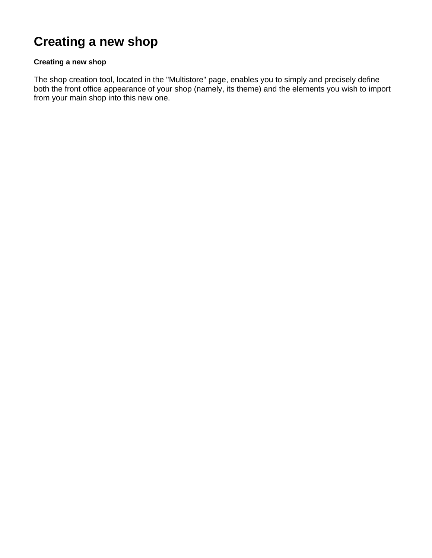## **Creating a new shop**

## **Creating a new shop**

The shop creation tool, located in the "Multistore" page, enables you to simply and precisely define both the front office appearance of your shop (namely, its theme) and the elements you wish to import from your main shop into this new one.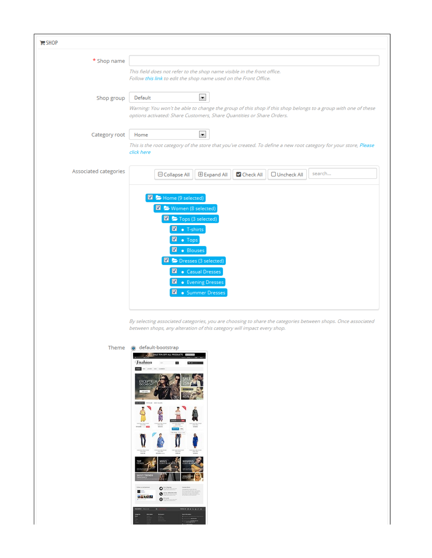| $H$ SHOP              |                                                                                                                                                                                                                                                                                                                        |
|-----------------------|------------------------------------------------------------------------------------------------------------------------------------------------------------------------------------------------------------------------------------------------------------------------------------------------------------------------|
| * Shop name           | This field does not refer to the shop name visible in the front office.<br>Follow this link to edit the shop name used on the Front Office.                                                                                                                                                                            |
| Shop group            | $\blacktriangledown$<br>Default<br>Warning: You won't be able to change the group of this shop if this shop belongs to a group with one of these<br>options activated: Share Customers, Share Quantities or Share Orders.                                                                                              |
| Category root         | $\blacktriangledown$<br>Home<br>This is the root category of the store that you've created. To define a new root category for your store, Please<br>click here                                                                                                                                                         |
| Associated categories | search<br>Check All<br>□ Collapse All<br><b>Expand All</b><br>O Uncheck All<br>Home (9 selected)<br>Women (8 selected)<br>Tops (3 selected)<br><b>M</b> • T-shirts<br>M<br>• Tops<br><b>M</b> . Blouses<br>De Dresses (3 selected)<br><b>Z</b> . Casual Dresses<br><b>Z</b> . Evening Dresses<br>· Summer Dresses<br>M |

By selecting associated categories, you are choosing to share the categories between shops. Once associated between shops, any alteration of this category will impact every shop.

Theme @ default-bootstrap **ALL SALE TOW OFF ALL PRODUCTS Tashion** ×,  $\overline{\phantom{a}}$  $\frac{1}{2}$ EXCEPTEUR ś 人気 x ľ  $\begin{matrix} \circ \\ \circ \\ \circ \end{matrix}$  $\blacksquare$ **BA VOID**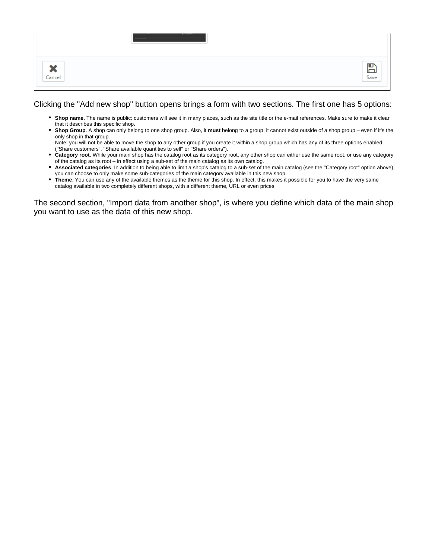| 44<br>灬<br>Cancel | . .<br>Save |
|-------------------|-------------|

## Clicking the "Add new shop" button opens brings a form with two sections. The first one has 5 options:

- **Shop name**. The name is public: customers will see it in many places, such as the site title or the e-mail references. Make sure to make it clear that it describes this specific shop.
- **Shop Group**. A shop can only belong to one shop group. Also, it **must** belong to a group: it cannot exist outside of a shop group even if it's the only shop in that group.
	- Note: you will not be able to move the shop to any other group if you create it within a shop group which has any of its three options enabled ("Share customers", "Share available quantities to sell" or "Share orders").
- **Category root**. While your main shop has the catalog root as its category root, any other shop can either use the same root, or use any category of the catalog as its root – in effect using a sub-set of the main catalog as its own catalog.
- **Associated categories**. In addition to being able to limit a shop's catalog to a sub-set of the main catalog (see the "Category root" option above), you can choose to only make some sub-categories of the main category available in this new shop.
- **Theme**. You can use any of the available themes as the theme for this shop. In effect, this makes it possible for you to have the very same catalog available in two completely different shops, with a different theme, URL or even prices.

The second section, "Import data from another shop", is where you define which data of the main shop you want to use as the data of this new shop.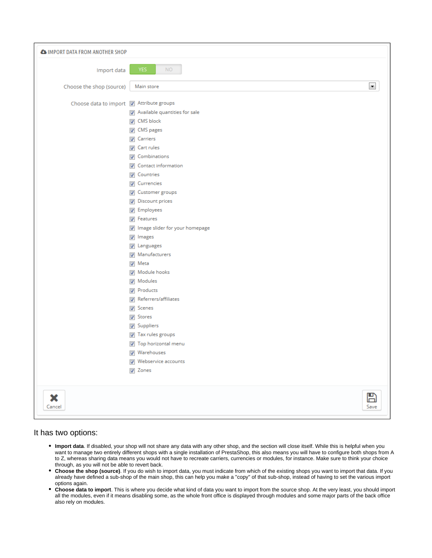| <b>AS IMPORT DATA FROM ANOTHER SHOP</b>  |                                          |                 |
|------------------------------------------|------------------------------------------|-----------------|
| Import data                              | YES.<br><b>NO</b>                        |                 |
| Choose the shop (source)                 | Main store                               | ×               |
| Choose data to import   Attribute groups |                                          |                 |
|                                          | $\sqrt{ }$ Available quantities for sale |                 |
|                                          | <b>V</b> CMS block                       |                 |
|                                          | CMS pages                                |                 |
|                                          | <b>V</b> Carriers                        |                 |
|                                          | <b>V</b> Cart rules                      |                 |
|                                          | <b>V</b> Combinations                    |                 |
|                                          | <b>V</b> Contact information             |                 |
|                                          | <b>V</b> Countries                       |                 |
|                                          | <b>V</b> Currencies                      |                 |
|                                          | <b>V</b> Customer groups                 |                 |
|                                          | Discount prices                          |                 |
|                                          | <b>7</b> Employees                       |                 |
|                                          | $\triangledown$ Features                 |                 |
|                                          | I Image slider for your homepage         |                 |
|                                          | $\nabla$ Images                          |                 |
|                                          | $\nabla$ Languages                       |                 |
|                                          | Manufacturers                            |                 |
|                                          | $\sqrt{ }$ Meta                          |                 |
|                                          | Module hooks                             |                 |
|                                          | <b>V</b> Modules                         |                 |
|                                          | <b>V</b> Products                        |                 |
|                                          | Referrers/affiliates                     |                 |
|                                          | <b>V</b> Scenes                          |                 |
|                                          | <b>V</b> Stores                          |                 |
|                                          | <b>V</b> Suppliers                       |                 |
|                                          | Tax rules groups                         |                 |
|                                          | $\triangledown$ Top horizontal menu      |                 |
|                                          | <b>V</b> Warehouses                      |                 |
|                                          | <b>V</b> Webservice accounts             |                 |
|                                          | <b>V</b> Zones                           |                 |
|                                          |                                          |                 |
| ×<br>Cancel                              |                                          | ம<br>lп<br>Save |

## It has two options:

- **Import data**. If disabled, your shop will not share any data with any other shop, and the section will close itself. While this is helpful when you want to manage two entirely different shops with a single installation of PrestaShop, this also means you will have to configure both shops from A to Z, whereas sharing data means you would not have to recreate carriers, currencies or modules, for instance. Make sure to think your choice through, as you will not be able to revert back.
- **Choose the shop (source)**. If you do wish to import data, you must indicate from which of the existing shops you want to import that data. If you already have defined a sub-shop of the main shop, this can help you make a "copy" of that sub-shop, instead of having to set the various import options again.
- **Choose data to import**. This is where you decide what kind of data you want to import from the source shop. At the very least, you should import all the modules, even if it means disabling some, as the whole front office is displayed through modules and some major parts of the back office also rely on modules.